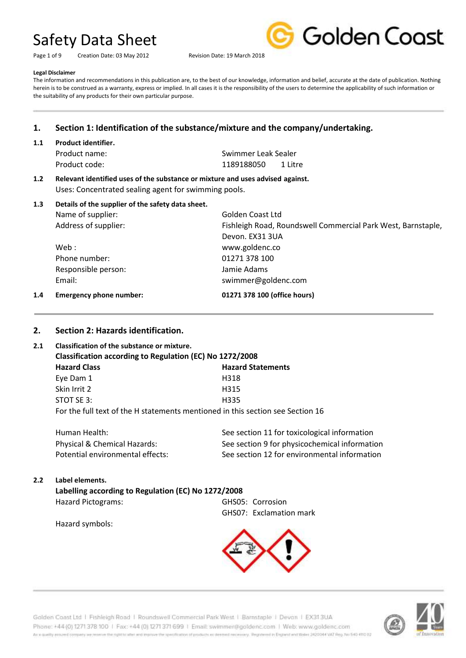Page 1 of 9 Creation Date: 03 May 2012 Revision Date: 19 March 2018



#### **Legal Disclaimer**

The information and recommendations in this publication are, to the best of our knowledge, information and belief, accurate at the date of publication. Nothing herein is to be construed as a warranty, express or implied. In all cases it is the responsibility of the users to determine the applicability of such information or the suitability of any products for their own particular purpose.

# **1. Section 1: Identification of the substance/mixture and the company/undertaking.**

**1.1 Product identifier.**

Product name: Swimmer Leak Sealer Product code: 1189188050 1 Litre

**1.2 Relevant identified uses of the substance or mixture and uses advised against.** Uses: Concentrated sealing agent for swimming pools.

| 1.3 | Details of the supplier of the safety data sheet.<br>Name of supplier: | Golden Coast Ltd                                             |
|-----|------------------------------------------------------------------------|--------------------------------------------------------------|
|     | Address of supplier:                                                   | Fishleigh Road, Roundswell Commercial Park West, Barnstaple, |
|     |                                                                        | Devon. EX31 3UA                                              |
|     | Web :                                                                  | www.goldenc.co                                               |
|     | Phone number:                                                          | 01271 378 100                                                |
|     | Responsible person:                                                    | Jamie Adams                                                  |
|     | Email:                                                                 | swimmer@goldenc.com                                          |
| 1.4 | <b>Emergency phone number:</b>                                         | 01271 378 100 (office hours)                                 |

# **2. Section 2: Hazards identification.**

# **2.1 Classification of the substance or mixture.**

| Classification according to Regulation (EC) No 1272/2008                       |                          |  |  |
|--------------------------------------------------------------------------------|--------------------------|--|--|
| <b>Hazard Class</b>                                                            | <b>Hazard Statements</b> |  |  |
| Eye Dam 1                                                                      | H318                     |  |  |
| Skin Irrit 2                                                                   | H315                     |  |  |
| STOT SE 3:                                                                     | H335                     |  |  |
| For the full text of the H statements mentioned in this section see Section 16 |                          |  |  |

| Human Health:                    | See section 11 for toxicological information  |
|----------------------------------|-----------------------------------------------|
| Physical & Chemical Hazards:     | See section 9 for physicochemical information |
| Potential environmental effects: | See section 12 for environmental information  |

# **2.2 Label elements.**

**Labelling according to Regulation (EC) No 1272/2008**

Hazard Pictograms: GHS05: Corrosion

GHS07: Exclamation mark

Hazard symbols:



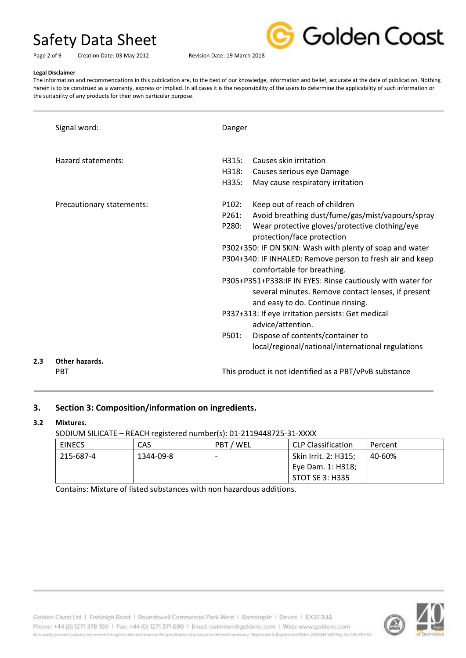

Page 2 of 9 Creation Date: 03 May 2012 Revision Date: 19 March 2018

#### **Legal Disclaimer**

The information and recommendations in this publication are, to the best of our knowledge, information and belief, accurate at the date of publication. Nothing herein is to be construed as a warranty, express or implied. In all cases it is the responsibility of the users to determine the applicability of such information or the suitability of any products for their own particular purpose.

|     | Signal word:                 | Danger                  |                                                                                                                                                                                                                                                                                                                          |
|-----|------------------------------|-------------------------|--------------------------------------------------------------------------------------------------------------------------------------------------------------------------------------------------------------------------------------------------------------------------------------------------------------------------|
|     | Hazard statements:           | H315:<br>H318:<br>H335: | Causes skin irritation<br>Causes serious eye Damage<br>May cause respiratory irritation                                                                                                                                                                                                                                  |
|     | Precautionary statements:    | P102:<br>P261:<br>P280: | Keep out of reach of children<br>Avoid breathing dust/fume/gas/mist/vapours/spray<br>Wear protective gloves/protective clothing/eye<br>protection/face protection<br>P302+350: IF ON SKIN: Wash with plenty of soap and water<br>P304+340: IF INHALED: Remove person to fresh air and keep<br>comfortable for breathing. |
|     |                              |                         | P305+P351+P338:IF IN EYES: Rinse cautiously with water for<br>several minutes. Remove contact lenses, if present<br>and easy to do. Continue rinsing.                                                                                                                                                                    |
|     |                              | P501:                   | P337+313: If eye irritation persists: Get medical<br>advice/attention.<br>Dispose of contents/container to<br>local/regional/national/international regulations                                                                                                                                                          |
| 2.3 | Other hazards.<br><b>PRT</b> |                         | This product is not identified as a PBT/vPvB substance                                                                                                                                                                                                                                                                   |

# **3. Section 3: Composition/information on ingredients.**

# **3.2 Mixtures.**

SODIUM SILICATE – REACH registered number(s): 01-2119448725-31-XXXX

|               | $\frac{1}{2}$ |           |                           |         |  |  |
|---------------|---------------|-----------|---------------------------|---------|--|--|
| <b>EINECS</b> | CAS           | PBT / WEL | <b>CLP Classification</b> | Percent |  |  |
| 215-687-4     | 1344-09-8     |           | Skin Irrit. 2: H315;      | 40-60%  |  |  |
|               |               |           | Eye Dam. 1: H318;         |         |  |  |
|               |               |           | STOT SE 3: H335           |         |  |  |

Contains: Mixture of listed substances with non hazardous additions.

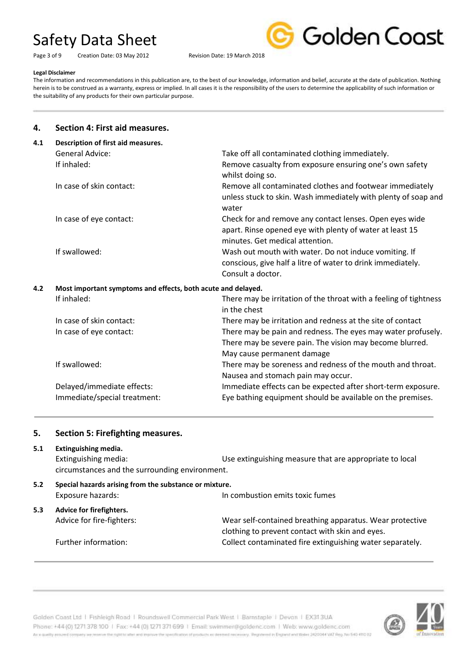Page 3 of 9 Creation Date: 03 May 2012 Revision Date: 19 March 2018



#### **Legal Disclaimer**

The information and recommendations in this publication are, to the best of our knowledge, information and belief, accurate at the date of publication. Nothing herein is to be construed as a warranty, express or implied. In all cases it is the responsibility of the users to determine the applicability of such information or the suitability of any products for their own particular purpose.

# **4. Section 4: First aid measures.**

| 4.1 | Description of first aid measures.                           |                                                                                                                                                        |
|-----|--------------------------------------------------------------|--------------------------------------------------------------------------------------------------------------------------------------------------------|
|     | <b>General Advice:</b>                                       | Take off all contaminated clothing immediately.                                                                                                        |
|     | If inhaled:                                                  | Remove casualty from exposure ensuring one's own safety<br>whilst doing so.                                                                            |
|     | In case of skin contact:                                     | Remove all contaminated clothes and footwear immediately<br>unless stuck to skin. Wash immediately with plenty of soap and<br>water                    |
|     | In case of eye contact:                                      | Check for and remove any contact lenses. Open eyes wide<br>apart. Rinse opened eye with plenty of water at least 15<br>minutes. Get medical attention. |
|     | If swallowed:                                                | Wash out mouth with water. Do not induce vomiting. If<br>conscious, give half a litre of water to drink immediately.<br>Consult a doctor.              |
| 4.2 | Most important symptoms and effects, both acute and delayed. |                                                                                                                                                        |
|     | If inhaled:                                                  | There may be irritation of the throat with a feeling of tightness<br>in the chest                                                                      |
|     | In case of skin contact:                                     | There may be irritation and redness at the site of contact                                                                                             |
|     | In case of eye contact:                                      | There may be pain and redness. The eyes may water profusely.<br>There may be severe pain. The vision may become blurred.<br>May cause permanent damage |
|     | If swallowed:                                                | There may be soreness and redness of the mouth and throat.<br>Nausea and stomach pain may occur.                                                       |
|     | Delayed/immediate effects:                                   | Immediate effects can be expected after short-term exposure.                                                                                           |
|     | Immediate/special treatment:                                 | Eye bathing equipment should be available on the premises.                                                                                             |

# **5. Section 5: Firefighting measures.**

**5.1 Extinguishing media.** Extinguishing media: Use extinguishing measure that are appropriate to local circumstances and the surrounding environment. **5.2 Special hazards arising from the substance or mixture.** Exposure hazards: In combustion emits toxic fumes **5.3 Advice for firefighters.** Advice for fire-fighters: Wear self-contained breathing apparatus. Wear protective clothing to prevent contact with skin and eyes. Further information: The Collect contaminated fire extinguishing water separately.



Golden Coast Ltd | Fishleigh Road | Roundswell Commercial Park West | Barnstaple | Devon | EX313UA Phone: +44 (0) 1271 378 100 | Fax: +44 (0) 1271 371 699 | Email: swimmer@goldenc.com | Web: www.goldenc.com As a quality assumed company we reserve the right to aller and impose the specification of products as deeded receivery. Registered in Engines and Wales 2420044 VAT Reg. Aut 540-410-02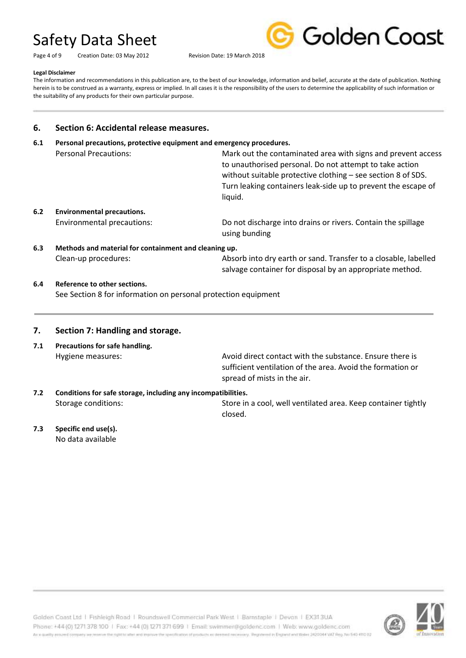Page 4 of 9 Creation Date: 03 May 2012 Revision Date: 19 March 2018



#### **Legal Disclaimer**

The information and recommendations in this publication are, to the best of our knowledge, information and belief, accurate at the date of publication. Nothing herein is to be construed as a warranty, express or implied. In all cases it is the responsibility of the users to determine the applicability of such information or the suitability of any products for their own particular purpose.

# **6. Section 6: Accidental release measures.**

**6.1 Personal precautions, protective equipment and emergency procedures.**

|     | <b>Personal Precautions:</b>      | Mark out the contaminated area with signs and prevent access<br>to unauthorised personal. Do not attempt to take action<br>without suitable protective clothing - see section 8 of SDS. |
|-----|-----------------------------------|-----------------------------------------------------------------------------------------------------------------------------------------------------------------------------------------|
|     |                                   | Turn leaking containers leak-side up to prevent the escape of<br>liquid.                                                                                                                |
| 6.2 | <b>Environmental precautions.</b> |                                                                                                                                                                                         |
|     | <b>Environmental precautions:</b> | Do not discharge into drains or rivers. Contain the spillage<br>using bunding                                                                                                           |

- **6.3 Methods and material for containment and cleaning up.** Clean-up procedures: Absorb into dry earth or sand. Transfer to a closable, labelled salvage container for disposal by an appropriate method.
- **6.4 Reference to other sections.** See Section 8 for information on personal protection equipment

# **7. Section 7: Handling and storage.**

**7.1 Precautions for safe handling.**

Hygiene measures: Avoid direct contact with the substance. Ensure there is sufficient ventilation of the area. Avoid the formation or spread of mists in the air.

**7.2 Conditions for safe storage, including any incompatibilities.** Storage conditions: Store in a cool, well ventilated area. Keep container tightly closed.

**7.3 Specific end use(s).** No data available

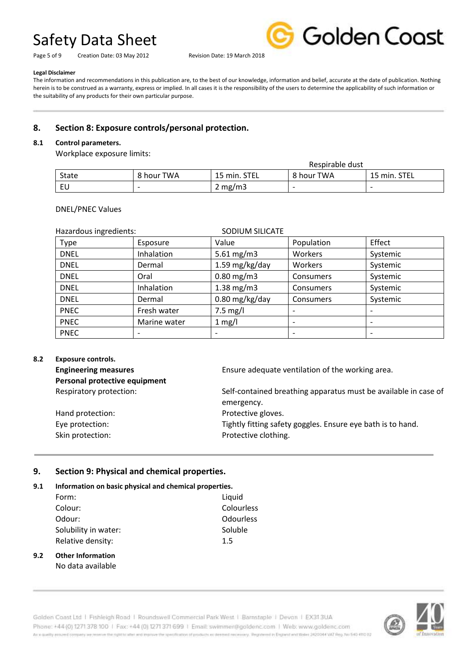Page 5 of 9 Creation Date: 03 May 2012 Revision Date: 19 March 2018



#### **Legal Disclaimer**

The information and recommendations in this publication are, to the best of our knowledge, information and belief, accurate at the date of publication. Nothing herein is to be construed as a warranty, express or implied. In all cases it is the responsibility of the users to determine the applicability of such information or the suitability of any products for their own particular purpose.

# **8. Section 8: Exposure controls/personal protection.**

### **8.1 Control parameters.**

Workplace exposure limits:

| Respirable dust |                          |                  |                          |                          |
|-----------------|--------------------------|------------------|--------------------------|--------------------------|
| State           | 8 hour TWA               | 15 min. STEL     | 8 hour TWA               | 15 min. STEL             |
| EU              | $\overline{\phantom{0}}$ | $2 \text{ mg/m}$ | $\overline{\phantom{0}}$ | $\overline{\phantom{0}}$ |

### DNEL/PNEC Values

| SODIUM SILICATE<br>Hazardous ingredients: |              |                 |            |                          |
|-------------------------------------------|--------------|-----------------|------------|--------------------------|
| Type                                      | Esposure     | Value           | Population | Effect                   |
| <b>DNEL</b>                               | Inhalation   | 5.61 $mg/m3$    | Workers    | Systemic                 |
| <b>DNEL</b>                               | Dermal       | 1.59 mg/kg/day  | Workers    | Systemic                 |
| <b>DNEL</b>                               | Oral         | $0.80$ mg/m3    | Consumers  | Systemic                 |
| <b>DNEL</b>                               | Inhalation   | $1.38$ mg/m $3$ | Consumers  | Systemic                 |
| <b>DNEL</b>                               | Dermal       | 0.80 mg/kg/day  | Consumers  | Systemic                 |
| <b>PNEC</b>                               | Fresh water  | $7.5$ mg/l      |            |                          |
| <b>PNEC</b>                               | Marine water | $1$ mg/l        |            |                          |
| <b>PNEC</b>                               |              |                 |            | $\overline{\phantom{0}}$ |

# **8.2 Exposure controls.**

| <b>Engineering measures</b>   | Ensure adequate ventilation of the working area.                |
|-------------------------------|-----------------------------------------------------------------|
| Personal protective equipment |                                                                 |
| Respiratory protection:       | Self-contained breathing apparatus must be available in case of |
|                               | emergency.                                                      |
| Hand protection:              | Protective gloves.                                              |
| Eye protection:               | Tightly fitting safety goggles. Ensure eye bath is to hand.     |
| Skin protection:              | Protective clothing.                                            |
|                               |                                                                 |

# **9. Section 9: Physical and chemical properties.**

# **9.1 Information on basic physical and chemical properties.**

| Form:                | Liquid           |
|----------------------|------------------|
| Colour:              | Colourless       |
| Odour:               | <b>Odourless</b> |
| Solubility in water: | Soluble          |
| Relative density:    | 1.5              |
|                      |                  |

### **9.2 Other Information** No data available

Golden Coast Ltd | Fishleigh Road | Roundswell Commercial Park West | Barnstaple | Devon | EX313UA Phone: +44 (0) 1271 378 100 | Fax: +44 (0) 1271 371 699 | Email: swimmer@goldenc.com | Web: www.goldenc.com As a quality ensured company we reserve the right to after and enprice the specification of products as deepent recessary. Registered in England and Wales (AQDO44 VAT Reg. Just 540-410 D2

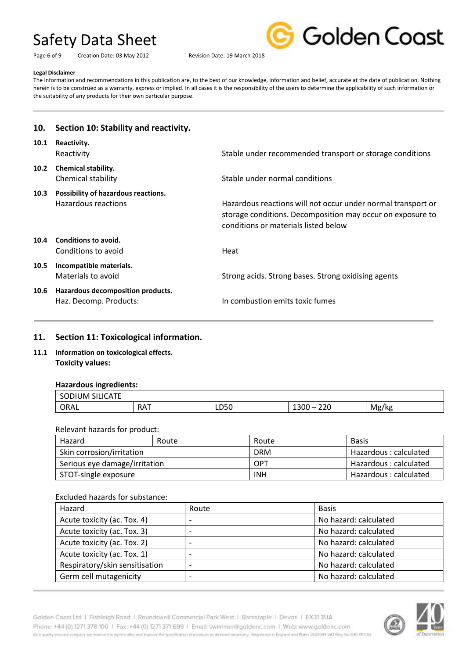Page 6 of 9 Creation Date: 03 May 2012 Revision Date: 19 March 2018



#### **Legal Disclaimer**

The information and recommendations in this publication are, to the best of our knowledge, information and belief, accurate at the date of publication. Nothing herein is to be construed as a warranty, express or implied. In all cases it is the responsibility of the users to determine the applicability of such information or the suitability of any products for their own particular purpose.

# **10. Section 10: Stability and reactivity. 10.1 Reactivity.** Reactivity **Stable under recommended transport or storage conditions** Stable under recommended transport or storage conditions **10.2 Chemical stability.** Chemical stability Chemical stability Stable under normal conditions **10.3 Possibility of hazardous reactions.** Hazardous reactions Hazardous reactions will not occur under normal transport or storage conditions. Decomposition may occur on exposure to conditions or materials listed below **10.4 Conditions to avoid.** Conditions to avoid and Heat **10.5 Incompatible materials.** Materials to avoid **Strong acids.** Strong bases. Strong oxidising agents **10.6 Hazardous decomposition products.** Haz. Decomp. Products: In combustion emits toxic fumes

# **11. Section 11: Toxicological information.**

**11.1 Information on toxicological effects. Toxicity values:**

# **Hazardous ingredients:**

| $\sim$ $\sim$ $\sim$ $\sim$ $\sim$<br>∕⊔M ∫<br>SC.<br>,,,,<br>וראטו. |                          |                          |                              |              |
|----------------------------------------------------------------------|--------------------------|--------------------------|------------------------------|--------------|
| ORAL                                                                 | <b>DAT</b><br><b>NAI</b> | <b>DEO</b><br>LUJU<br>__ | າາດ<br>ZZU<br>13UU<br>$\sim$ | . .<br>Mg/kg |

#### Relevant hazards for product:

| Hazard                        | Route | Route      | <b>Basis</b>          |
|-------------------------------|-------|------------|-----------------------|
| Skin corrosion/irritation     |       | <b>DRM</b> | Hazardous: calculated |
| Serious eye damage/irritation |       | OPT        | Hazardous: calculated |
| STOT-single exposure          |       | <b>INH</b> | Hazardous: calculated |

#### Excluded hazards for substance:

| Hazard                         | Route                    | <b>Basis</b>          |
|--------------------------------|--------------------------|-----------------------|
| Acute toxicity (ac. Tox. 4)    | $\overline{\phantom{0}}$ | No hazard: calculated |
| Acute toxicity (ac. Tox. 3)    | $\overline{\phantom{0}}$ | No hazard: calculated |
| Acute toxicity (ac. Tox. 2)    |                          | No hazard: calculated |
| Acute toxicity (ac. Tox. 1)    |                          | No hazard: calculated |
| Respiratory/skin sensitisation |                          | No hazard: calculated |
| Germ cell mutagenicity         | $\overline{\phantom{0}}$ | No hazard: calculated |



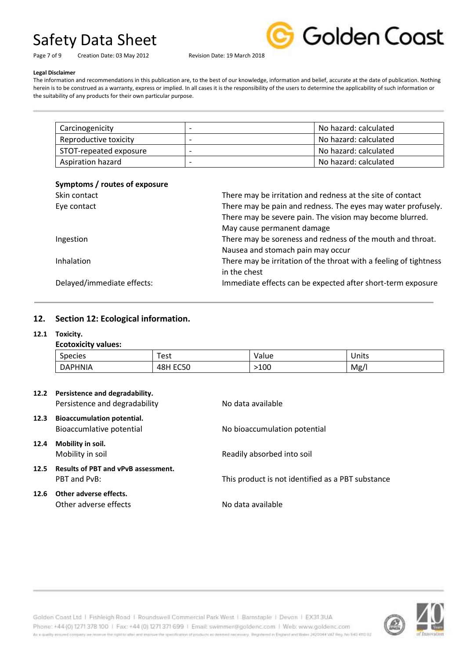Page 7 of 9 Creation Date: 03 May 2012 Revision Date: 19 March 2018



#### **Legal Disclaimer**

The information and recommendations in this publication are, to the best of our knowledge, information and belief, accurate at the date of publication. Nothing herein is to be construed as a warranty, express or implied. In all cases it is the responsibility of the users to determine the applicability of such information or the suitability of any products for their own particular purpose.

| Carcinogenicity          |                          | No hazard: calculated |
|--------------------------|--------------------------|-----------------------|
| Reproductive toxicity    | $\overline{\phantom{0}}$ | No hazard: calculated |
| STOT-repeated exposure   | $\overline{\phantom{0}}$ | No hazard: calculated |
| <b>Aspiration hazard</b> |                          | No hazard: calculated |

### **Symptoms / routes of exposure**

| There may be irritation and redness at the site of contact        |
|-------------------------------------------------------------------|
| There may be pain and redness. The eyes may water profusely.      |
| There may be severe pain. The vision may become blurred.          |
| May cause permanent damage                                        |
| There may be soreness and redness of the mouth and throat.        |
| Nausea and stomach pain may occur                                 |
| There may be irritation of the throat with a feeling of tightness |
| in the chest                                                      |
| Immediate effects can be expected after short-term exposure       |
|                                                                   |

# **12. Section 12: Ecological information.**

# **12.1 Toxicity.**

# **Ecotoxicity values:**

| $\overline{\phantom{0}}$<br><b>Species</b> | Test                       | Value | Units |
|--------------------------------------------|----------------------------|-------|-------|
| <b>DAPHNIA</b>                             | <b>ECEO</b><br>48P<br>cupu | 100   | Mg/   |

|      | 12.2 Persistence and degradability.<br>Persistence and degradability | No data available                                 |
|------|----------------------------------------------------------------------|---------------------------------------------------|
| 12.3 | <b>Bioaccumulation potential.</b><br>Bioaccumlative potential        | No bioaccumulation potential                      |
| 12.4 | Mobility in soil.<br>Mobility in soil                                | Readily absorbed into soil                        |
|      | 12.5 Results of PBT and vPvB assessment.<br>PBT and PvB:             | This product is not identified as a PBT substance |
| 12.6 | Other adverse effects.<br>Other adverse effects                      | No data available                                 |



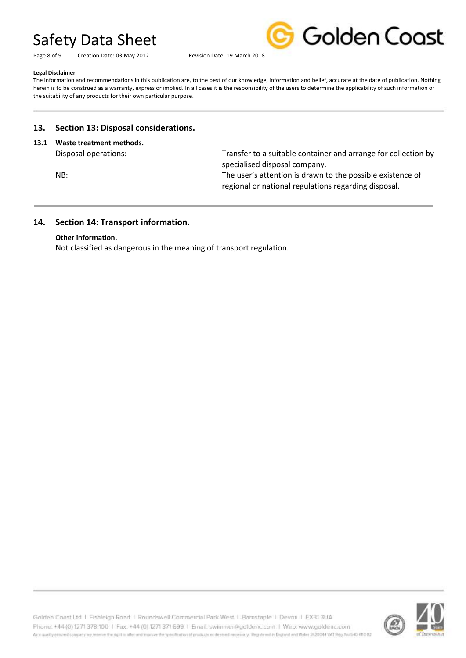Page 8 of 9 Creation Date: 03 May 2012 Revision Date: 19 March 2018



#### **Legal Disclaimer**

The information and recommendations in this publication are, to the best of our knowledge, information and belief, accurate at the date of publication. Nothing herein is to be construed as a warranty, express or implied. In all cases it is the responsibility of the users to determine the applicability of such information or the suitability of any products for their own particular purpose.

# **13. Section 13: Disposal considerations.**

### **13.1 Waste treatment methods.**

Disposal operations: Transfer to a suitable container and arrange for collection by specialised disposal company.

NB: The user's attention is drawn to the possible existence of regional or national regulations regarding disposal.

# **14. Section 14: Transport information.**

### **Other information.**

Not classified as dangerous in the meaning of transport regulation.